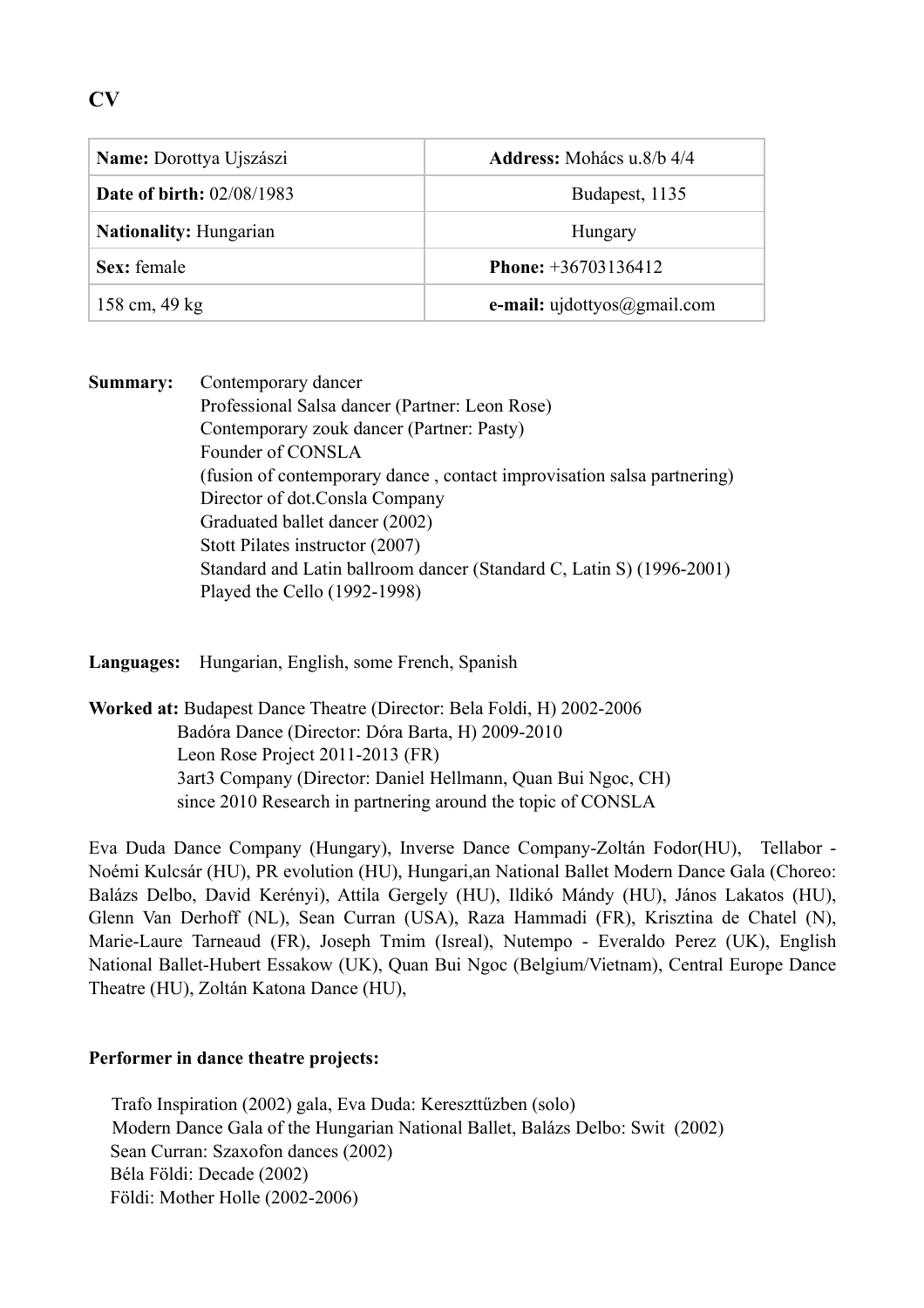# **CV**

| <b>Name:</b> Dorottya Ujszászi   | <b>Address:</b> Mohács u.8/b 4/4             |
|----------------------------------|----------------------------------------------|
| <b>Date of birth: 02/08/1983</b> | Budapest, 1135                               |
| <b>Nationality: Hungarian</b>    | Hungary                                      |
| Sex: female                      | <b>Phone:</b> $+36703136412$                 |
| 158 cm, 49 kg                    | <b>e-mail:</b> $uidottyos(\theta)$ gmail.com |

**Summary:** Contemporary dancer Professional Salsa dancer (Partner: Leon Rose) Contemporary zouk dancer (Partner: Pasty) Founder of CONSLA (fusion of contemporary dance , contact improvisation salsa partnering) Director of dot.Consla Company Graduated ballet dancer (2002) Stott Pilates instructor (2007) Standard and Latin ballroom dancer (Standard C, Latin S) (1996-2001) Played the Cello (1992-1998)

**Languages:** Hungarian, English, some French, Spanish

**Worked at:** Budapest Dance Theatre (Director: Bela Foldi, H) 2002-2006 Badóra Dance (Director: Dóra Barta, H) 2009-2010 Leon Rose Project 2011-2013 (FR) 3art3 Company (Director: Daniel Hellmann, Quan Bui Ngoc, CH) since 2010 Research in partnering around the topic of CONSLA

Eva Duda Dance Company (Hungary), Inverse Dance Company-Zoltán Fodor(HU), Tellabor - Noémi Kulcsár (HU), PR evolution (HU), Hungari,an National Ballet Modern Dance Gala (Choreo: Balázs Delbo, David Kerényi), Attila Gergely (HU), Ildikó Mándy (HU), János Lakatos (HU), Glenn Van Derhoff (NL), Sean Curran (USA), Raza Hammadi (FR), Krisztina de Chatel (N), Marie-Laure Tarneaud (FR), Joseph Tmim (Isreal), Nutempo - Everaldo Perez (UK), English National Ballet-Hubert Essakow (UK), Quan Bui Ngoc (Belgium/Vietnam), Central Europe Dance Theatre (HU), Zoltán Katona Dance (HU),

# **Performer in dance theatre projects:**

 Trafo Inspiration (2002) gala, Eva Duda: Kereszttűzben (solo) Modern Dance Gala of the Hungarian National Ballet, Balázs Delbo: Swit (2002) Sean Curran: Szaxofon dances (2002) Béla Földi: Decade (2002) Földi: Mother Holle (2002-2006)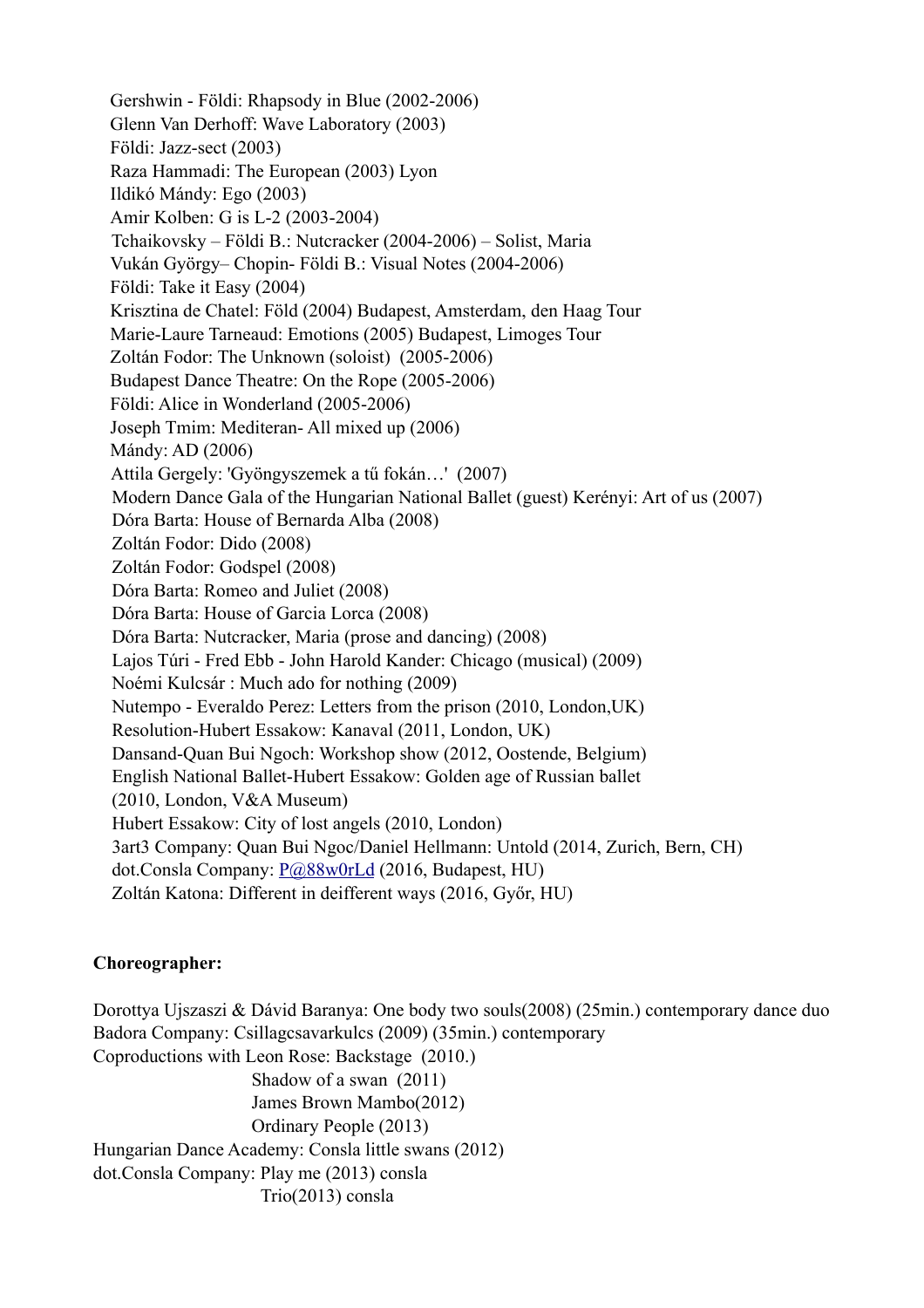Gershwin - Földi: Rhapsody in Blue (2002-2006) Glenn Van Derhoff: Wave Laboratory (2003) Földi: Jazz-sect (2003) Raza Hammadi: The European (2003) Lyon Ildikó Mándy: Ego (2003) Amir Kolben: G is L-2 (2003-2004) Tchaikovsky – Földi B.: Nutcracker (2004-2006) – Solist, Maria Vukán György– Chopin- Földi B.: Visual Notes (2004-2006) Földi: Take it Easy (2004) Krisztina de Chatel: Föld (2004) Budapest, Amsterdam, den Haag Tour Marie-Laure Tarneaud: Emotions (2005) Budapest, Limoges Tour Zoltán Fodor: The Unknown (soloist) (2005-2006) Budapest Dance Theatre: On the Rope (2005-2006) Földi: Alice in Wonderland (2005-2006) Joseph Tmim: Mediteran- All mixed up (2006) Mándy: AD (2006) Attila Gergely: 'Gyöngyszemek a tű fokán…' (2007) Modern Dance Gala of the Hungarian National Ballet (guest) Kerényi: Art of us (2007) Dóra Barta: House of Bernarda Alba (2008) Zoltán Fodor: Dido (2008) Zoltán Fodor: Godspel (2008) Dóra Barta: Romeo and Juliet (2008) Dóra Barta: House of Garcia Lorca (2008) Dóra Barta: Nutcracker, Maria (prose and dancing) (2008) Lajos Túri - Fred Ebb - John Harold Kander: Chicago (musical) (2009) Noémi Kulcsár : Much ado for nothing (2009) Nutempo - Everaldo Perez: Letters from the prison (2010, London,UK) Resolution-Hubert Essakow: Kanaval (2011, London, UK) Dansand-Quan Bui Ngoch: Workshop show (2012, Oostende, Belgium) English National Ballet-Hubert Essakow: Golden age of Russian ballet (2010, London, V&A Museum) Hubert Essakow: City of lost angels (2010, London) 3art3 Company: Quan Bui Ngoc/Daniel Hellmann: Untold (2014, Zurich, Bern, CH) dot.Consla Company: [P@88w0rLd](mailto:P@88w0rLd?subject=) (2016, Budapest, HU) Zoltán Katona: Different in deifferent ways (2016, Győr, HU)

## **Choreographer:**

 Dorottya Ujszaszi & Dávid Baranya: One body two souls(2008) (25min.) contemporary dance duo Badora Company: Csillagcsavarkulcs (2009) (35min.) contemporary Coproductions with Leon Rose: Backstage (2010.) Shadow of a swan (2011) James Brown Mambo(2012) Ordinary People (2013) Hungarian Dance Academy: Consla little swans (2012) dot.Consla Company: Play me (2013) consla Trio(2013) consla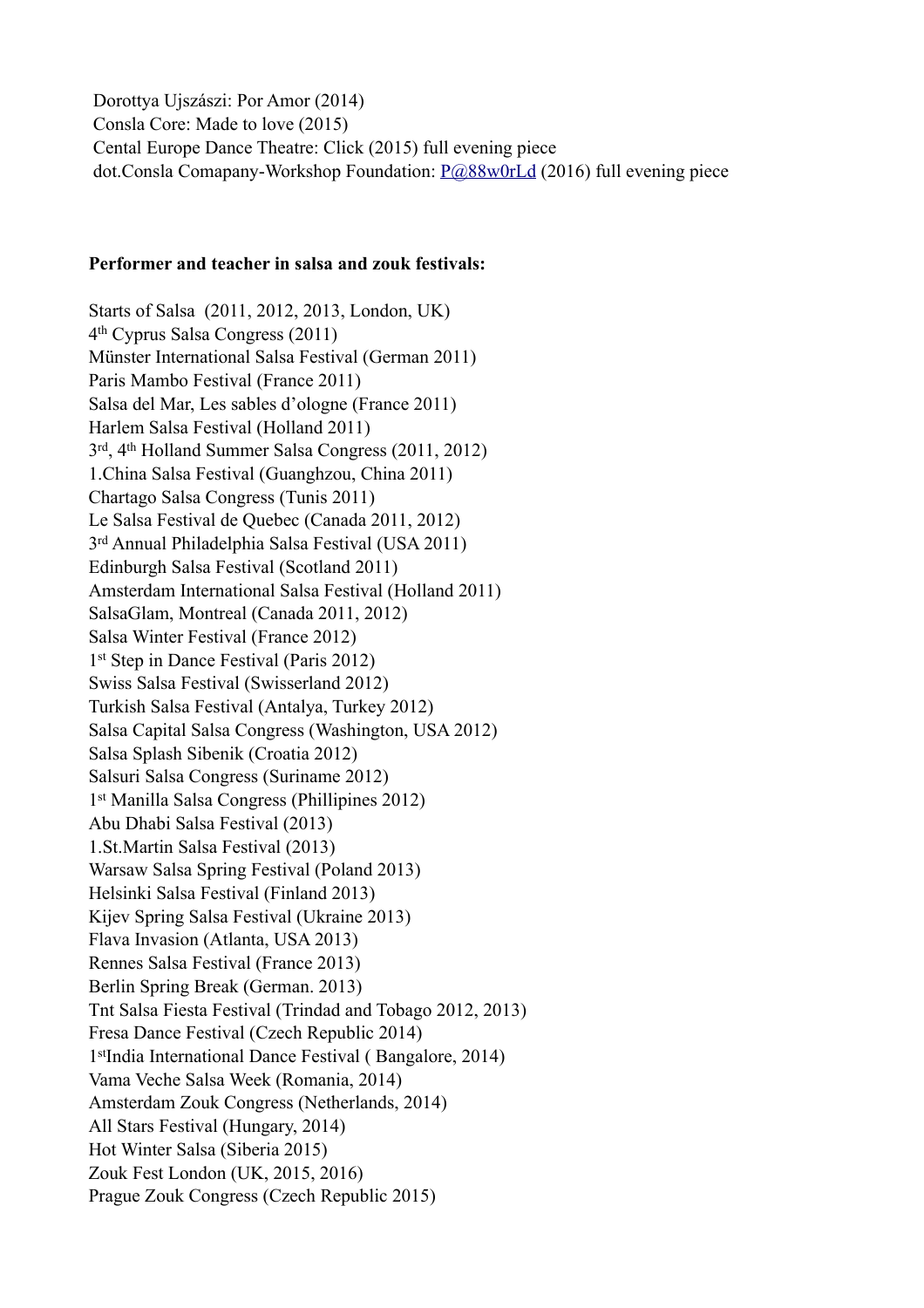Dorottya Ujszászi: Por Amor (2014) Consla Core: Made to love (2015) Cental Europe Dance Theatre: Click (2015) full evening piece dot.Consla Comapany-Workshop Foundation: [P@88w0rLd](mailto:P@88w0rLd?subject=) (2016) full evening piece

#### **Performer and teacher in salsa and zouk festivals:**

Starts of Salsa (2011, 2012, 2013, London, UK) 4th Cyprus Salsa Congress (2011) Münster International Salsa Festival (German 2011) Paris Mambo Festival (France 2011) Salsa del Mar, Les sables d'ologne (France 2011) Harlem Salsa Festival (Holland 2011) 3rd, 4th Holland Summer Salsa Congress (2011, 2012) 1.China Salsa Festival (Guanghzou, China 2011) Chartago Salsa Congress (Tunis 2011) Le Salsa Festival de Quebec (Canada 2011, 2012) 3rd Annual Philadelphia Salsa Festival (USA 2011) Edinburgh Salsa Festival (Scotland 2011) Amsterdam International Salsa Festival (Holland 2011) SalsaGlam, Montreal (Canada 2011, 2012) Salsa Winter Festival (France 2012) 1st Step in Dance Festival (Paris 2012) Swiss Salsa Festival (Swisserland 2012) Turkish Salsa Festival (Antalya, Turkey 2012) Salsa Capital Salsa Congress (Washington, USA 2012) Salsa Splash Sibenik (Croatia 2012) Salsuri Salsa Congress (Suriname 2012) 1st Manilla Salsa Congress (Phillipines 2012) Abu Dhabi Salsa Festival (2013) 1.St.Martin Salsa Festival (2013) Warsaw Salsa Spring Festival (Poland 2013) Helsinki Salsa Festival (Finland 2013) Kijev Spring Salsa Festival (Ukraine 2013) Flava Invasion (Atlanta, USA 2013) Rennes Salsa Festival (France 2013) Berlin Spring Break (German. 2013) Tnt Salsa Fiesta Festival (Trindad and Tobago 2012, 2013) Fresa Dance Festival (Czech Republic 2014) 1stIndia International Dance Festival ( Bangalore, 2014) Vama Veche Salsa Week (Romania, 2014) Amsterdam Zouk Congress (Netherlands, 2014) All Stars Festival (Hungary, 2014) Hot Winter Salsa (Siberia 2015) Zouk Fest London (UK, 2015, 2016) Prague Zouk Congress (Czech Republic 2015)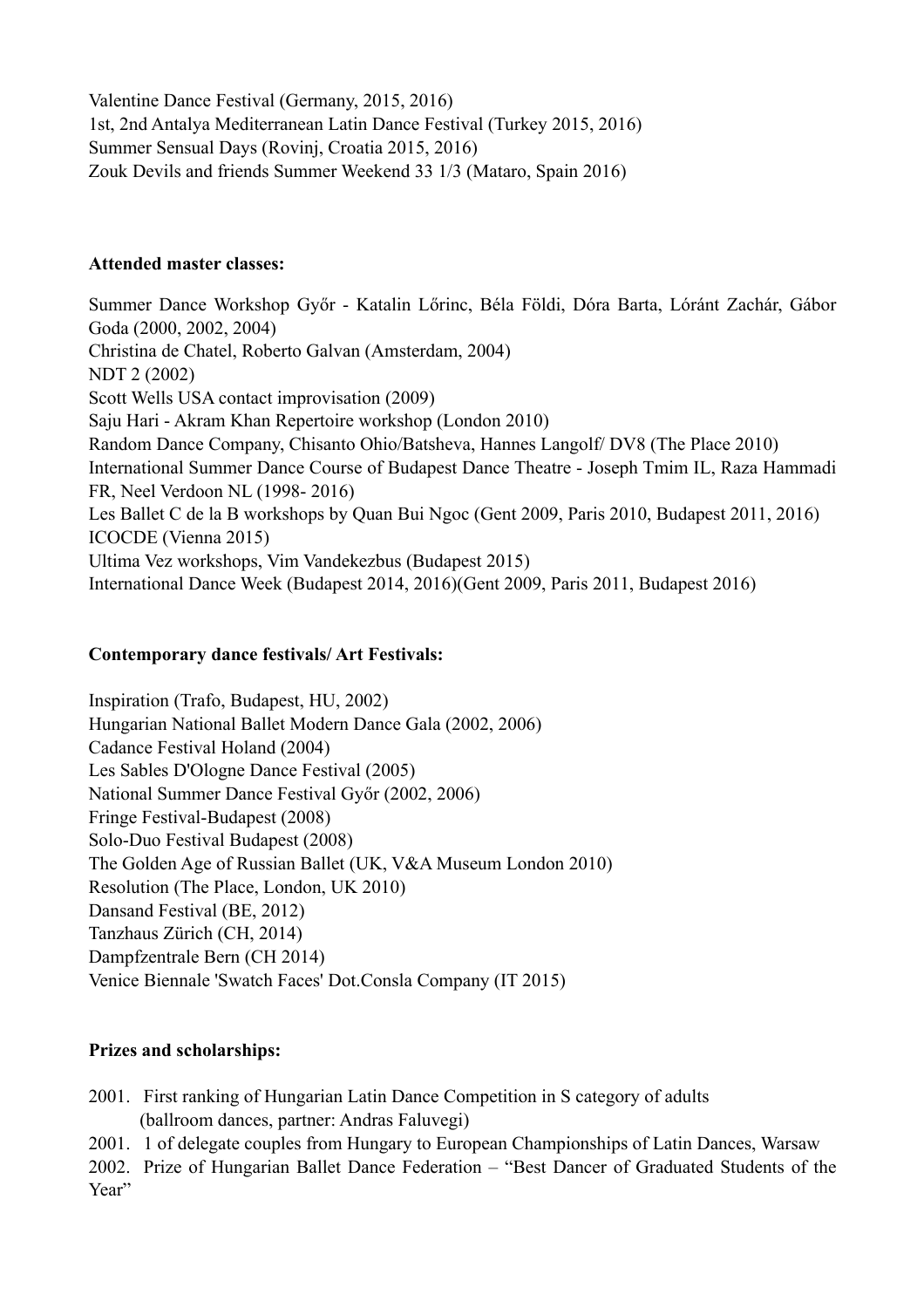Valentine Dance Festival (Germany, 2015, 2016) 1st, 2nd Antalya Mediterranean Latin Dance Festival (Turkey 2015, 2016) Summer Sensual Days (Rovinj, Croatia 2015, 2016) Zouk Devils and friends Summer Weekend 33 1/3 (Mataro, Spain 2016)

#### **Attended master classes:**

Summer Dance Workshop Győr - Katalin Lőrinc, Béla Földi, Dóra Barta, Lóránt Zachár, Gábor Goda (2000, 2002, 2004) Christina de Chatel, Roberto Galvan (Amsterdam, 2004) NDT 2 (2002) Scott Wells USA contact improvisation (2009) Saju Hari - Akram Khan Repertoire workshop (London 2010) Random Dance Company, Chisanto Ohio/Batsheva, Hannes Langolf/ DV8 (The Place 2010) International Summer Dance Course of Budapest Dance Theatre - Joseph Tmim IL, Raza Hammadi FR, Neel Verdoon NL (1998- 2016) Les Ballet C de la B workshops by Quan Bui Ngoc (Gent 2009, Paris 2010, Budapest 2011, 2016) ICOCDE (Vienna 2015) Ultima Vez workshops, Vim Vandekezbus (Budapest 2015) International Dance Week (Budapest 2014, 2016)(Gent 2009, Paris 2011, Budapest 2016)

## **Contemporary dance festivals/ Art Festivals:**

Inspiration (Trafo, Budapest, HU, 2002) Hungarian National Ballet Modern Dance Gala (2002, 2006) Cadance Festival Holand (2004) Les Sables D'Ologne Dance Festival (2005) National Summer Dance Festival Győr (2002, 2006) Fringe Festival-Budapest (2008) Solo-Duo Festival Budapest (2008) The Golden Age of Russian Ballet (UK, V&A Museum London 2010) Resolution (The Place, London, UK 2010) Dansand Festival (BE, 2012) Tanzhaus Zürich (CH, 2014) Dampfzentrale Bern (CH 2014) Venice Biennale 'Swatch Faces' Dot.Consla Company (IT 2015)

# **Prizes and scholarships:**

- 2001. First ranking of Hungarian Latin Dance Competition in S category of adults (ballroom dances, partner: Andras Faluvegi)
- 2001. 1 of delegate couples from Hungary to European Championships of Latin Dances, Warsaw

2002. Prize of Hungarian Ballet Dance Federation – "Best Dancer of Graduated Students of the Year"